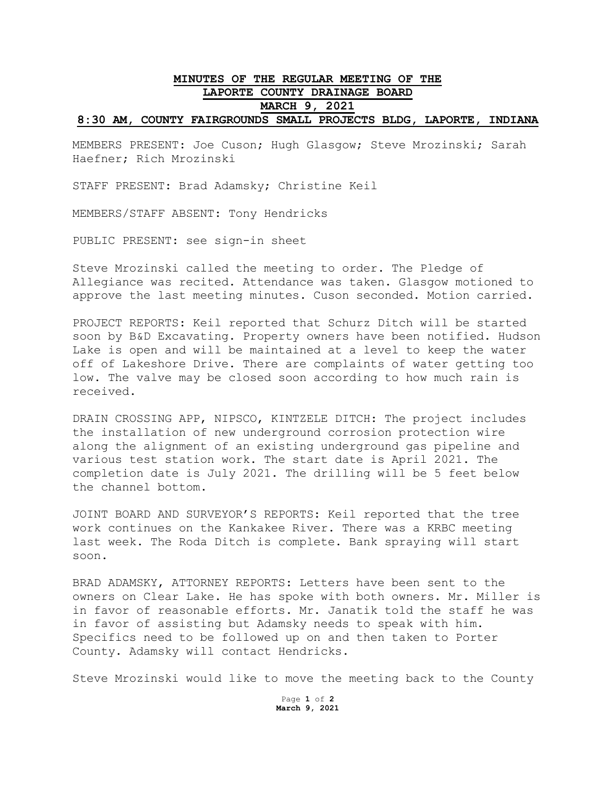## **MINUTES OF THE REGULAR MEETING OF THE LAPORTE COUNTY DRAINAGE BOARD MARCH 9, 2021 8:30 AM, COUNTY FAIRGROUNDS SMALL PROJECTS BLDG, LAPORTE, INDIANA**

MEMBERS PRESENT: Joe Cuson; Hugh Glasgow; Steve Mrozinski; Sarah Haefner; Rich Mrozinski

STAFF PRESENT: Brad Adamsky; Christine Keil

MEMBERS/STAFF ABSENT: Tony Hendricks

PUBLIC PRESENT: see sign-in sheet

Steve Mrozinski called the meeting to order. The Pledge of Allegiance was recited. Attendance was taken. Glasgow motioned to approve the last meeting minutes. Cuson seconded. Motion carried.

PROJECT REPORTS: Keil reported that Schurz Ditch will be started soon by B&D Excavating. Property owners have been notified. Hudson Lake is open and will be maintained at a level to keep the water off of Lakeshore Drive. There are complaints of water getting too low. The valve may be closed soon according to how much rain is received.

DRAIN CROSSING APP, NIPSCO, KINTZELE DITCH: The project includes the installation of new underground corrosion protection wire along the alignment of an existing underground gas pipeline and various test station work. The start date is April 2021. The completion date is July 2021. The drilling will be 5 feet below the channel bottom.

JOINT BOARD AND SURVEYOR'S REPORTS: Keil reported that the tree work continues on the Kankakee River. There was a KRBC meeting last week. The Roda Ditch is complete. Bank spraying will start soon.

BRAD ADAMSKY, ATTORNEY REPORTS: Letters have been sent to the owners on Clear Lake. He has spoke with both owners. Mr. Miller is in favor of reasonable efforts. Mr. Janatik told the staff he was in favor of assisting but Adamsky needs to speak with him. Specifics need to be followed up on and then taken to Porter County. Adamsky will contact Hendricks.

Steve Mrozinski would like to move the meeting back to the County